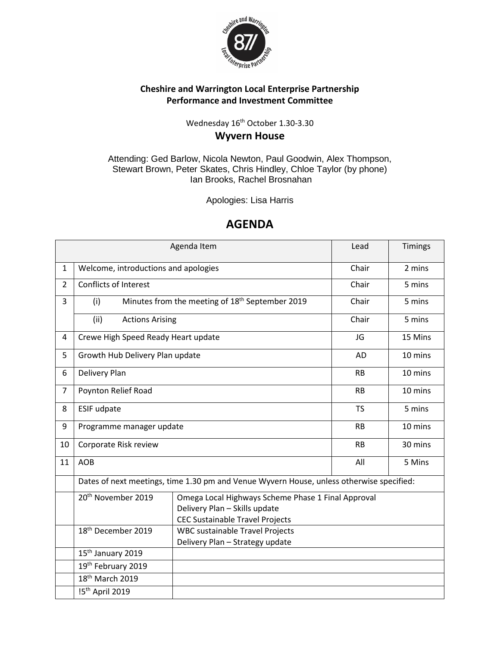

## **Cheshire and Warrington Local Enterprise Partnership Performance and Investment Committee**

## Wednesday 16<sup>th</sup> October 1.30-3.30 **Wyvern House**

Attending: Ged Barlow, Nicola Newton, Paul Goodwin, Alex Thompson, Stewart Brown, Peter Skates, Chris Hindley, Chloe Taylor (by phone) Ian Brooks, Rachel Brosnahan

Apologies: Lisa Harris

## **AGENDA**

|                |                                                                                                                                                                 | Lead                                                                                     | Timings   |         |  |  |
|----------------|-----------------------------------------------------------------------------------------------------------------------------------------------------------------|------------------------------------------------------------------------------------------|-----------|---------|--|--|
| $\mathbf{1}$   | Welcome, introductions and apologies                                                                                                                            | Chair                                                                                    | 2 mins    |         |  |  |
| $\overline{2}$ | <b>Conflicts of Interest</b>                                                                                                                                    |                                                                                          | Chair     | 5 mins  |  |  |
| 3              | (i)                                                                                                                                                             | Minutes from the meeting of 18 <sup>th</sup> September 2019                              | Chair     | 5 mins  |  |  |
|                | (ii)<br><b>Actions Arising</b>                                                                                                                                  |                                                                                          | Chair     | 5 mins  |  |  |
| 4              | Crewe High Speed Ready Heart update                                                                                                                             |                                                                                          | JG        | 15 Mins |  |  |
| 5              | Growth Hub Delivery Plan update                                                                                                                                 |                                                                                          | <b>AD</b> | 10 mins |  |  |
| 6              | Delivery Plan                                                                                                                                                   |                                                                                          | <b>RB</b> | 10 mins |  |  |
| $\overline{7}$ | Poynton Relief Road                                                                                                                                             |                                                                                          | RB        | 10 mins |  |  |
| 8              | <b>ESIF udpate</b>                                                                                                                                              | <b>TS</b>                                                                                | 5 mins    |         |  |  |
| 9              | Programme manager update                                                                                                                                        | <b>RB</b>                                                                                | 10 mins   |         |  |  |
| 10             | Corporate Risk review                                                                                                                                           | <b>RB</b>                                                                                | 30 mins   |         |  |  |
| 11             | <b>AOB</b><br>5 Mins<br>All                                                                                                                                     |                                                                                          |           |         |  |  |
|                |                                                                                                                                                                 | Dates of next meetings, time 1.30 pm and Venue Wyvern House, unless otherwise specified: |           |         |  |  |
|                | 20 <sup>th</sup> November 2019<br>Omega Local Highways Scheme Phase 1 Final Approval<br>Delivery Plan - Skills update<br><b>CEC Sustainable Travel Projects</b> |                                                                                          |           |         |  |  |
|                | 18 <sup>th</sup> December 2019<br><b>WBC sustainable Travel Projects</b><br>Delivery Plan - Strategy update                                                     |                                                                                          |           |         |  |  |
|                | 15 <sup>th</sup> January 2019                                                                                                                                   |                                                                                          |           |         |  |  |
|                | 19th February 2019                                                                                                                                              |                                                                                          |           |         |  |  |
|                | 18 <sup>th</sup> March 2019                                                                                                                                     |                                                                                          |           |         |  |  |
|                | !5 <sup>th</sup> April 2019                                                                                                                                     |                                                                                          |           |         |  |  |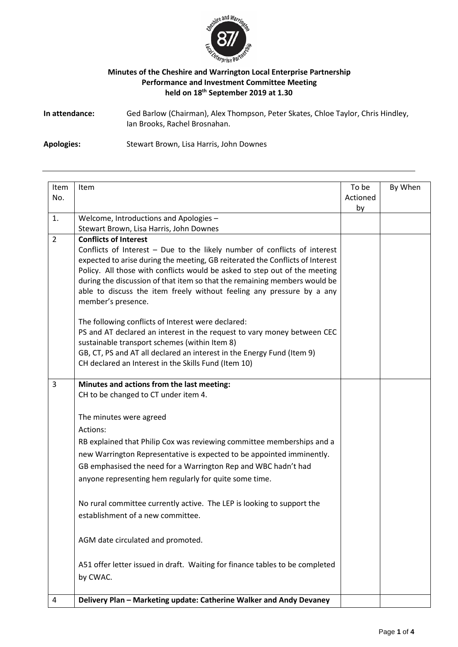

#### **Minutes of the Cheshire and Warrington Local Enterprise Partnership Performance and Investment Committee Meeting held on 18th September 2019 at 1.30**

**In attendance:** Ged Barlow (Chairman), Alex Thompson, Peter Skates, Chloe Taylor, Chris Hindley, Ian Brooks, Rachel Brosnahan.

**Apologies:** Stewart Brown, Lisa Harris, John Downes

| Item           | Item                                                                                                                                                                                                                                                                                                                                                                                                                                                 | To be          | By When |
|----------------|------------------------------------------------------------------------------------------------------------------------------------------------------------------------------------------------------------------------------------------------------------------------------------------------------------------------------------------------------------------------------------------------------------------------------------------------------|----------------|---------|
| No.            |                                                                                                                                                                                                                                                                                                                                                                                                                                                      | Actioned<br>by |         |
| 1.             | Welcome, Introductions and Apologies -                                                                                                                                                                                                                                                                                                                                                                                                               |                |         |
|                | Stewart Brown, Lisa Harris, John Downes                                                                                                                                                                                                                                                                                                                                                                                                              |                |         |
| $\overline{2}$ | <b>Conflicts of Interest</b><br>Conflicts of Interest - Due to the likely number of conflicts of interest<br>expected to arise during the meeting, GB reiterated the Conflicts of Interest<br>Policy. All those with conflicts would be asked to step out of the meeting<br>during the discussion of that item so that the remaining members would be<br>able to discuss the item freely without feeling any pressure by a any<br>member's presence. |                |         |
|                | The following conflicts of Interest were declared:<br>PS and AT declared an interest in the request to vary money between CEC<br>sustainable transport schemes (within Item 8)<br>GB, CT, PS and AT all declared an interest in the Energy Fund (Item 9)<br>CH declared an Interest in the Skills Fund (Item 10)                                                                                                                                     |                |         |
| 3              | Minutes and actions from the last meeting:<br>CH to be changed to CT under item 4.                                                                                                                                                                                                                                                                                                                                                                   |                |         |
|                | The minutes were agreed                                                                                                                                                                                                                                                                                                                                                                                                                              |                |         |
|                | Actions:                                                                                                                                                                                                                                                                                                                                                                                                                                             |                |         |
|                | RB explained that Philip Cox was reviewing committee memberships and a                                                                                                                                                                                                                                                                                                                                                                               |                |         |
|                | new Warrington Representative is expected to be appointed imminently.                                                                                                                                                                                                                                                                                                                                                                                |                |         |
|                | GB emphasised the need for a Warrington Rep and WBC hadn't had<br>anyone representing hem regularly for quite some time.                                                                                                                                                                                                                                                                                                                             |                |         |
|                | No rural committee currently active. The LEP is looking to support the<br>establishment of a new committee.                                                                                                                                                                                                                                                                                                                                          |                |         |
|                | AGM date circulated and promoted.                                                                                                                                                                                                                                                                                                                                                                                                                    |                |         |
|                | A51 offer letter issued in draft. Waiting for finance tables to be completed<br>by CWAC.                                                                                                                                                                                                                                                                                                                                                             |                |         |
| 4              | Delivery Plan - Marketing update: Catherine Walker and Andy Devaney                                                                                                                                                                                                                                                                                                                                                                                  |                |         |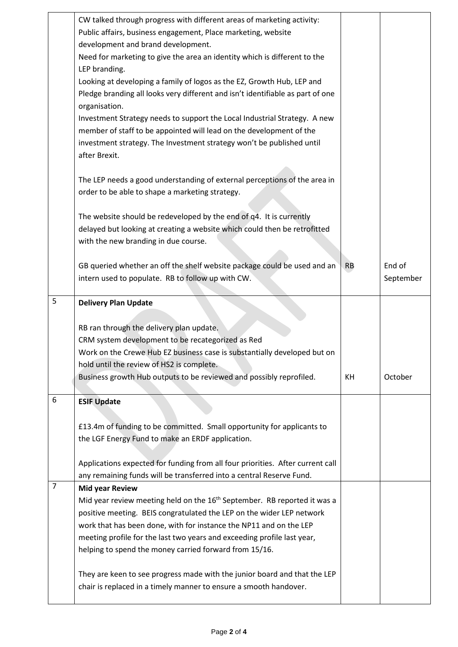|                | CW talked through progress with different areas of marketing activity:                                                |           |           |
|----------------|-----------------------------------------------------------------------------------------------------------------------|-----------|-----------|
|                | Public affairs, business engagement, Place marketing, website                                                         |           |           |
|                | development and brand development.                                                                                    |           |           |
|                | Need for marketing to give the area an identity which is different to the                                             |           |           |
|                | LEP branding.                                                                                                         |           |           |
|                | Looking at developing a family of logos as the EZ, Growth Hub, LEP and                                                |           |           |
|                | Pledge branding all looks very different and isn't identifiable as part of one<br>organisation.                       |           |           |
|                | Investment Strategy needs to support the Local Industrial Strategy. A new                                             |           |           |
|                | member of staff to be appointed will lead on the development of the                                                   |           |           |
|                | investment strategy. The Investment strategy won't be published until                                                 |           |           |
|                | after Brexit.                                                                                                         |           |           |
|                |                                                                                                                       |           |           |
|                | The LEP needs a good understanding of external perceptions of the area in                                             |           |           |
|                | order to be able to shape a marketing strategy.                                                                       |           |           |
|                |                                                                                                                       |           |           |
|                | The website should be redeveloped by the end of q4. It is currently                                                   |           |           |
|                | delayed but looking at creating a website which could then be retrofitted                                             |           |           |
|                | with the new branding in due course.                                                                                  |           |           |
|                |                                                                                                                       |           |           |
|                | GB queried whether an off the shelf website package could be used and an                                              | <b>RB</b> | End of    |
|                | intern used to populate. RB to follow up with CW.                                                                     |           | September |
|                |                                                                                                                       |           |           |
| 5              | <b>Delivery Plan Update</b>                                                                                           |           |           |
|                |                                                                                                                       |           |           |
|                | RB ran through the delivery plan update.                                                                              |           |           |
|                | CRM system development to be recategorized as Red                                                                     |           |           |
|                | Work on the Crewe Hub EZ business case is substantially developed but on<br>hold until the review of HS2 is complete. |           |           |
|                | Business growth Hub outputs to be reviewed and possibly reprofiled.                                                   | KH        | October   |
|                |                                                                                                                       |           |           |
| 6              | <b>ESIF Update</b>                                                                                                    |           |           |
|                |                                                                                                                       |           |           |
|                | £13.4m of funding to be committed. Small opportunity for applicants to                                                |           |           |
|                | the LGF Energy Fund to make an ERDF application.                                                                      |           |           |
|                |                                                                                                                       |           |           |
|                | Applications expected for funding from all four priorities. After current call                                        |           |           |
|                | any remaining funds will be transferred into a central Reserve Fund.                                                  |           |           |
| $\overline{7}$ | <b>Mid year Review</b>                                                                                                |           |           |
|                | Mid year review meeting held on the 16 <sup>th</sup> September. RB reported it was a                                  |           |           |
|                | positive meeting. BEIS congratulated the LEP on the wider LEP network                                                 |           |           |
|                | work that has been done, with for instance the NP11 and on the LEP                                                    |           |           |
|                | meeting profile for the last two years and exceeding profile last year,                                               |           |           |
|                | helping to spend the money carried forward from 15/16.                                                                |           |           |
|                |                                                                                                                       |           |           |
|                | They are keen to see progress made with the junior board and that the LEP                                             |           |           |
|                | chair is replaced in a timely manner to ensure a smooth handover.                                                     |           |           |
|                |                                                                                                                       |           |           |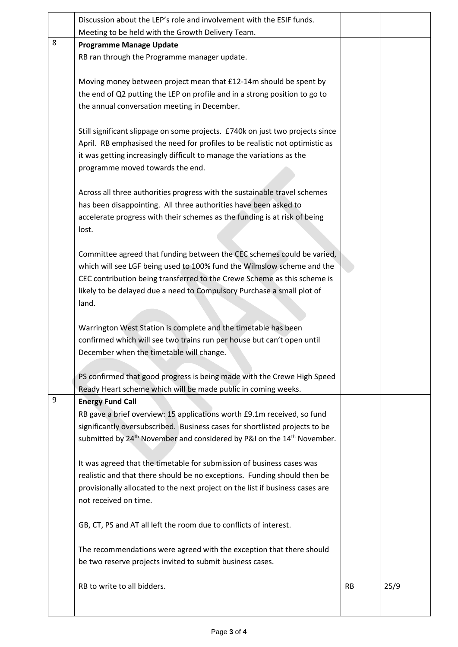|   | Discussion about the LEP's role and involvement with the ESIF funds.                                                                          |           |      |
|---|-----------------------------------------------------------------------------------------------------------------------------------------------|-----------|------|
|   | Meeting to be held with the Growth Delivery Team.                                                                                             |           |      |
| 8 | <b>Programme Manage Update</b>                                                                                                                |           |      |
|   | RB ran through the Programme manager update.                                                                                                  |           |      |
|   |                                                                                                                                               |           |      |
|   | Moving money between project mean that £12-14m should be spent by                                                                             |           |      |
|   | the end of Q2 putting the LEP on profile and in a strong position to go to                                                                    |           |      |
|   | the annual conversation meeting in December.                                                                                                  |           |      |
|   |                                                                                                                                               |           |      |
|   | Still significant slippage on some projects. £740k on just two projects since                                                                 |           |      |
|   | April. RB emphasised the need for profiles to be realistic not optimistic as                                                                  |           |      |
|   | it was getting increasingly difficult to manage the variations as the                                                                         |           |      |
|   | programme moved towards the end.                                                                                                              |           |      |
|   |                                                                                                                                               |           |      |
|   | Across all three authorities progress with the sustainable travel schemes<br>has been disappointing. All three authorities have been asked to |           |      |
|   | accelerate progress with their schemes as the funding is at risk of being                                                                     |           |      |
|   | lost.                                                                                                                                         |           |      |
|   |                                                                                                                                               |           |      |
|   | Committee agreed that funding between the CEC schemes could be varied,                                                                        |           |      |
|   | which will see LGF being used to 100% fund the Wilmslow scheme and the                                                                        |           |      |
|   | CEC contribution being transferred to the Crewe Scheme as this scheme is                                                                      |           |      |
|   | likely to be delayed due a need to Compulsory Purchase a small plot of                                                                        |           |      |
|   | land.                                                                                                                                         |           |      |
|   |                                                                                                                                               |           |      |
|   | Warrington West Station is complete and the timetable has been                                                                                |           |      |
|   | confirmed which will see two trains run per house but can't open until                                                                        |           |      |
|   | December when the timetable will change.                                                                                                      |           |      |
|   |                                                                                                                                               |           |      |
|   | PS confirmed that good progress is being made with the Crewe High Speed                                                                       |           |      |
|   | Ready Heart scheme which will be made public in coming weeks.                                                                                 |           |      |
| 9 | <b>Energy Fund Call</b>                                                                                                                       |           |      |
|   | RB gave a brief overview: 15 applications worth £9.1m received, so fund                                                                       |           |      |
|   | significantly oversubscribed. Business cases for shortlisted projects to be                                                                   |           |      |
|   | submitted by 24 <sup>th</sup> November and considered by P&I on the 14 <sup>th</sup> November.                                                |           |      |
|   |                                                                                                                                               |           |      |
|   | It was agreed that the timetable for submission of business cases was                                                                         |           |      |
|   | realistic and that there should be no exceptions. Funding should then be                                                                      |           |      |
|   | provisionally allocated to the next project on the list if business cases are                                                                 |           |      |
|   | not received on time.                                                                                                                         |           |      |
|   |                                                                                                                                               |           |      |
|   | GB, CT, PS and AT all left the room due to conflicts of interest.                                                                             |           |      |
|   |                                                                                                                                               |           |      |
|   | The recommendations were agreed with the exception that there should<br>be two reserve projects invited to submit business cases.             |           |      |
|   |                                                                                                                                               |           |      |
|   | RB to write to all bidders.                                                                                                                   | <b>RB</b> | 25/9 |
|   |                                                                                                                                               |           |      |
|   |                                                                                                                                               |           |      |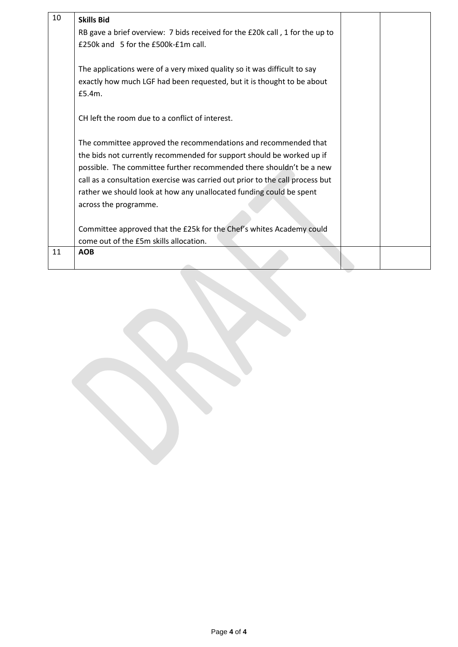| 10 | <b>Skills Bid</b>                                                             |  |
|----|-------------------------------------------------------------------------------|--|
|    | RB gave a brief overview: 7 bids received for the £20k call, 1 for the up to  |  |
|    | £250k and 5 for the £500k-£1m call.                                           |  |
|    |                                                                               |  |
|    | The applications were of a very mixed quality so it was difficult to say      |  |
|    | exactly how much LGF had been requested, but it is thought to be about        |  |
|    | £5.4m.                                                                        |  |
|    |                                                                               |  |
|    | CH left the room due to a conflict of interest.                               |  |
|    |                                                                               |  |
|    | The committee approved the recommendations and recommended that               |  |
|    | the bids not currently recommended for support should be worked up if         |  |
|    | possible. The committee further recommended there shouldn't be a new          |  |
|    | call as a consultation exercise was carried out prior to the call process but |  |
|    | rather we should look at how any unallocated funding could be spent           |  |
|    | across the programme.                                                         |  |
|    |                                                                               |  |
|    | Committee approved that the £25k for the Chef's whites Academy could          |  |
|    | come out of the £5m skills allocation.                                        |  |
| 11 | <b>AOB</b>                                                                    |  |
|    |                                                                               |  |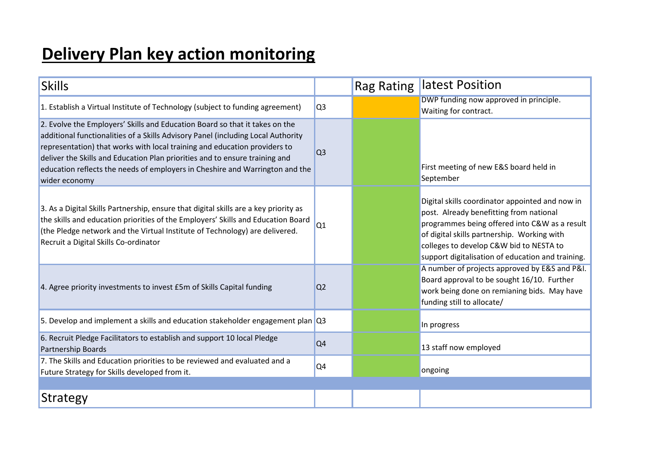# **Delivery Plan key action monitoring**

| <b>Skills</b>                                                                                                                                                                                                                                                                                                                                                                                                                |                | Rag Rating | latest Position                                                                                                                                                                                                                                                                            |
|------------------------------------------------------------------------------------------------------------------------------------------------------------------------------------------------------------------------------------------------------------------------------------------------------------------------------------------------------------------------------------------------------------------------------|----------------|------------|--------------------------------------------------------------------------------------------------------------------------------------------------------------------------------------------------------------------------------------------------------------------------------------------|
| 1. Establish a Virtual Institute of Technology (subject to funding agreement)                                                                                                                                                                                                                                                                                                                                                | Q <sub>3</sub> |            | DWP funding now approved in principle.<br>Waiting for contract.                                                                                                                                                                                                                            |
| 2. Evolve the Employers' Skills and Education Board so that it takes on the<br>additional functionalities of a Skills Advisory Panel (including Local Authority<br>representation) that works with local training and education providers to<br>deliver the Skills and Education Plan priorities and to ensure training and<br>education reflects the needs of employers in Cheshire and Warrington and the<br>wider economy | Q <sub>3</sub> |            | First meeting of new E&S board held in<br>September                                                                                                                                                                                                                                        |
| 3. As a Digital Skills Partnership, ensure that digital skills are a key priority as<br>the skills and education priorities of the Employers' Skills and Education Board<br>(the Pledge network and the Virtual Institute of Technology) are delivered.<br>Recruit a Digital Skills Co-ordinator                                                                                                                             | Q1             |            | Digital skills coordinator appointed and now in<br>post. Already benefitting from national<br>programmes being offered into C&W as a result<br>of digital skills partnership. Working with<br>colleges to develop C&W bid to NESTA to<br>support digitalisation of education and training. |
| 4. Agree priority investments to invest £5m of Skills Capital funding                                                                                                                                                                                                                                                                                                                                                        | Q <sub>2</sub> |            | A number of projects approved by E&S and P&I.<br>Board approval to be sought 16/10. Further<br>work being done on remianing bids. May have<br>funding still to allocate/                                                                                                                   |
| 5. Develop and implement a skills and education stakeholder engagement plan Q3                                                                                                                                                                                                                                                                                                                                               |                |            | In progress                                                                                                                                                                                                                                                                                |
| 6. Recruit Pledge Facilitators to establish and support 10 local Pledge<br>Partnership Boards                                                                                                                                                                                                                                                                                                                                | Q <sub>4</sub> |            | 13 staff now employed                                                                                                                                                                                                                                                                      |
| 7. The Skills and Education priorities to be reviewed and evaluated and a<br>Future Strategy for Skills developed from it.                                                                                                                                                                                                                                                                                                   | Q <sub>4</sub> |            | ongoing                                                                                                                                                                                                                                                                                    |
|                                                                                                                                                                                                                                                                                                                                                                                                                              |                |            |                                                                                                                                                                                                                                                                                            |
| <b>Strategy</b>                                                                                                                                                                                                                                                                                                                                                                                                              |                |            |                                                                                                                                                                                                                                                                                            |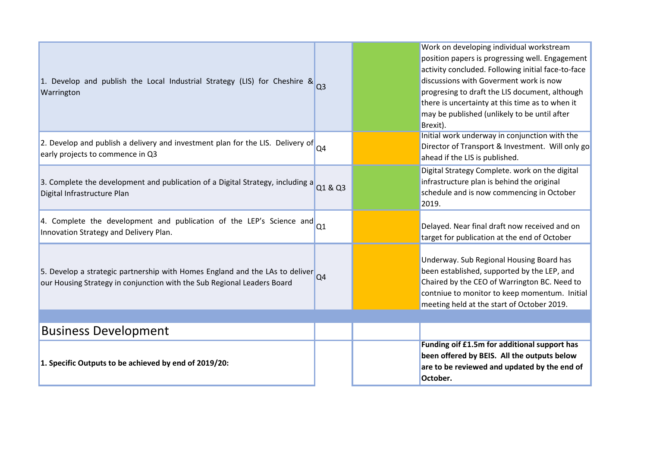| 1. Develop and publish the Local Industrial Strategy (LIS) for Cheshire & $_{\text{Q3}}$<br>Warrington                                                  |                | Work on developing individual workstream<br>position papers is progressing well. Engagement<br>activity concluded. Following initial face-to-face<br>discussions with Goverment work is now<br>progresing to draft the LIS document, although<br>there is uncertainty at this time as to when it<br>may be published (unlikely to be until after<br>Brexit). |
|---------------------------------------------------------------------------------------------------------------------------------------------------------|----------------|--------------------------------------------------------------------------------------------------------------------------------------------------------------------------------------------------------------------------------------------------------------------------------------------------------------------------------------------------------------|
| 2. Develop and publish a delivery and investment plan for the LIS. Delivery of $\vert_{Q4}$<br>early projects to commence in Q3                         |                | Initial work underway in conjunction with the<br>Director of Transport & Investment. Will only go<br>ahead if the LIS is published.                                                                                                                                                                                                                          |
| 3. Complete the development and publication of a Digital Strategy, including $a$ Q1 & Q3<br>Digital Infrastructure Plan                                 |                | Digital Strategy Complete. work on the digital<br>infrastructure plan is behind the original<br>schedule and is now commencing in October<br>2019.                                                                                                                                                                                                           |
| 4. Complete the development and publication of the LEP's Science and $_{Q1}$<br>Innovation Strategy and Delivery Plan.                                  |                | Delayed. Near final draft now received and on<br>target for publication at the end of October                                                                                                                                                                                                                                                                |
| 5. Develop a strategic partnership with Homes England and the LAs to deliver<br>our Housing Strategy in conjunction with the Sub Regional Leaders Board | Q <sub>4</sub> | Underway. Sub Regional Housing Board has<br>been established, supported by the LEP, and<br>Chaired by the CEO of Warrington BC. Need to<br>contniue to monitor to keep momentum. Initial<br>meeting held at the start of October 2019.                                                                                                                       |
|                                                                                                                                                         |                |                                                                                                                                                                                                                                                                                                                                                              |
| <b>Business Development</b>                                                                                                                             |                |                                                                                                                                                                                                                                                                                                                                                              |
| 1. Specific Outputs to be achieved by end of 2019/20:                                                                                                   |                | Funding oif £1.5m for additional support has<br>been offered by BEIS. All the outputs below<br>are to be reviewed and updated by the end of<br>October.                                                                                                                                                                                                      |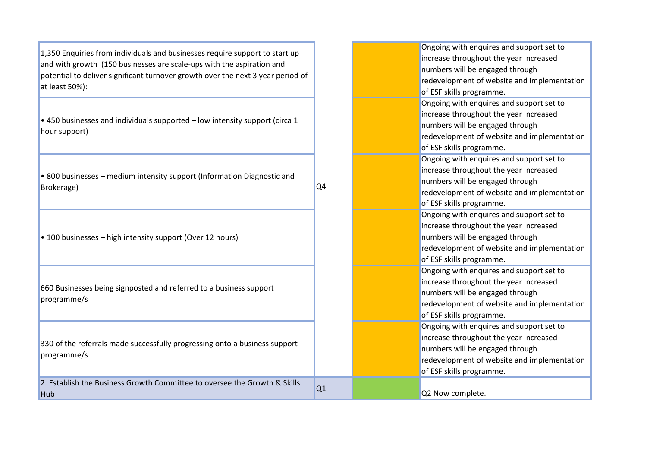1,350 Enquiries from individuals and businesses require support to start up and with growth (150 businesses are scale-ups with the aspiration and potential to deliver significant turnover growth over the next 3 year period of at least 50%):

 $\cdot$  450 businesses and individuals supported – low intensity support (circa 1 hour support)

• 800 businesses – medium intensity support (Information Diagnostic and Brokerage)

Q4

• 100 businesses – high intensity support (Over 12 hours)

660 Businesses being signposted and referred to a business support programme/s

330 of the referrals made successfully progressing onto a business support programme/s

2. Establish the Business Growth Committee to oversee the Growth & Skills Hub Complete.<br>Hub Cash and Cash and Cash and Cash and Cash and Cash and Cash and Cash and Cash and Cash and Cash and Cash an<br>Cash and Cash and Cash and Cash and Cash and Cash and Cash and Cash and Cash and Cash and Cash an

| Ongoing with enquires and support set to    |
|---------------------------------------------|
| increase throughout the year Increased      |
| numbers will be engaged through             |
| redevelopment of website and implementation |
| of ESF skills programme.                    |
| Ongoing with enquires and support set to    |
| increase throughout the year Increased      |
| numbers will be engaged through             |
| redevelopment of website and implementation |
| of ESF skills programme.                    |
| Ongoing with enquires and support set to    |
| increase throughout the year Increased      |
| numbers will be engaged through             |
| redevelopment of website and implementation |
| of ESF skills programme.                    |
| Ongoing with enquires and support set to    |
| increase throughout the year Increased      |
| numbers will be engaged through             |
| redevelopment of website and implementation |
| of ESF skills programme.                    |
| Ongoing with enquires and support set to    |
| increase throughout the year Increased      |
| numbers will be engaged through             |
| redevelopment of website and implementation |
| of ESF skills programme.                    |
| Ongoing with enquires and support set to    |
| increase throughout the year Increased      |
| numbers will be engaged through             |
| redevelopment of website and implementation |
| of ESF skills programme.                    |
|                                             |
| 00 Now complate                             |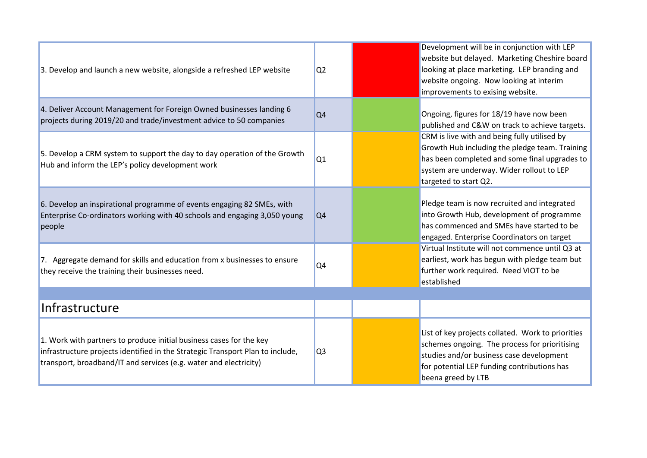| 3. Develop and launch a new website, alongside a refreshed LEP website                                                                                                                                                     | Q <sub>2</sub> | Development will be in conjunction with LEP<br>website but delayed. Marketing Cheshire board<br>looking at place marketing. LEP branding and<br>website ongoing. Now looking at interim<br>improvements to exising website. |
|----------------------------------------------------------------------------------------------------------------------------------------------------------------------------------------------------------------------------|----------------|-----------------------------------------------------------------------------------------------------------------------------------------------------------------------------------------------------------------------------|
| 4. Deliver Account Management for Foreign Owned businesses landing 6<br>projects during 2019/20 and trade/investment advice to 50 companies                                                                                | Q <sub>4</sub> | Ongoing, figures for 18/19 have now been<br>published and C&W on track to achieve targets.                                                                                                                                  |
| 5. Develop a CRM system to support the day to day operation of the Growth<br>Hub and inform the LEP's policy development work                                                                                              | Q1             | CRM is live with and being fully utilised by<br>Growth Hub including the pledge team. Training<br>has been completed and some final upgrades to<br>system are underway. Wider rollout to LEP<br>targeted to start Q2.       |
| 6. Develop an inspirational programme of events engaging 82 SMEs, with<br>Enterprise Co-ordinators working with 40 schools and engaging 3,050 young<br>people                                                              | Q <sub>4</sub> | Pledge team is now recruited and integrated<br>into Growth Hub, development of programme<br>has commenced and SMEs have started to be<br>engaged. Enterprise Coordinators on target                                         |
| 7. Aggregate demand for skills and education from x businesses to ensure<br>they receive the training their businesses need.                                                                                               | Q4             | Virtual Institute will not commence until Q3 at<br>earliest, work has begun with pledge team but<br>further work required. Need VIOT to be<br>established                                                                   |
| Infrastructure                                                                                                                                                                                                             |                |                                                                                                                                                                                                                             |
| 1. Work with partners to produce initial business cases for the key<br>infrastructure projects identified in the Strategic Transport Plan to include,<br>transport, broadband/IT and services (e.g. water and electricity) | Q <sub>3</sub> | List of key projects collated. Work to priorities<br>schemes ongoing. The process for prioritising<br>studies and/or business case development<br>for potential LEP funding contributions has<br>beena greed by LTB         |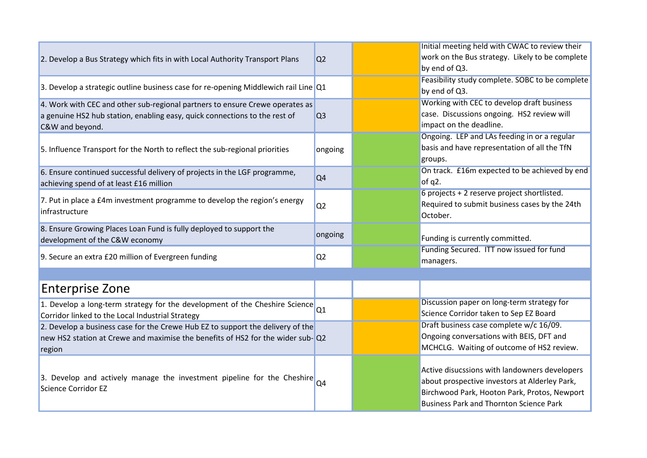|                                                                                                         |                | Initial meeting held with CWAC to review their  |
|---------------------------------------------------------------------------------------------------------|----------------|-------------------------------------------------|
| 2. Develop a Bus Strategy which fits in with Local Authority Transport Plans                            | Q <sub>2</sub> | work on the Bus strategy. Likely to be complete |
|                                                                                                         |                | by end of Q3.                                   |
|                                                                                                         |                | Feasibility study complete. SOBC to be complete |
| 3. Develop a strategic outline business case for re-opening Middlewich rail Line Q1                     |                | by end of Q3.                                   |
| 4. Work with CEC and other sub-regional partners to ensure Crewe operates as                            |                | Working with CEC to develop draft business      |
| a genuine HS2 hub station, enabling easy, quick connections to the rest of                              | Q <sub>3</sub> | case. Discussions ongoing. HS2 review will      |
| C&W and beyond.                                                                                         |                | impact on the deadline.                         |
|                                                                                                         |                | Ongoing. LEP and LAs feeding in or a regular    |
| 5. Influence Transport for the North to reflect the sub-regional priorities                             | ongoing        | basis and have representation of all the TfN    |
|                                                                                                         |                | groups.                                         |
| 6. Ensure continued successful delivery of projects in the LGF programme,                               |                | On track. £16m expected to be achieved by end   |
| achieving spend of at least £16 million                                                                 | Q4             | of $q2$ .                                       |
|                                                                                                         |                | 6 projects + 2 reserve project shortlisted.     |
| 7. Put in place a £4m investment programme to develop the region's energy                               | Q <sub>2</sub> | Required to submit business cases by the 24th   |
| infrastructure                                                                                          |                | October.                                        |
| 8. Ensure Growing Places Loan Fund is fully deployed to support the                                     |                |                                                 |
| development of the C&W economy                                                                          | ongoing        | Funding is currently committed.                 |
|                                                                                                         |                | Funding Secured. ITT now issued for fund        |
| 9. Secure an extra £20 million of Evergreen funding                                                     | Q <sub>2</sub> | managers.                                       |
|                                                                                                         |                |                                                 |
|                                                                                                         |                |                                                 |
| <b>Enterprise Zone</b>                                                                                  |                |                                                 |
| 1. Develop a long-term strategy for the development of the Cheshire Science $\vert_{Q1}$                |                | Discussion paper on long-term strategy for      |
| Corridor linked to the Local Industrial Strategy                                                        |                | Science Corridor taken to Sep EZ Board          |
| 2. Develop a business case for the Crewe Hub EZ to support the delivery of the                          |                | Draft business case complete w/c 16/09.         |
| new HS2 station at Crewe and maximise the benefits of HS2 for the wider sub-Q2                          |                | Ongoing conversations with BEIS, DFT and        |
| region                                                                                                  |                | MCHCLG. Waiting of outcome of HS2 review.       |
|                                                                                                         |                |                                                 |
|                                                                                                         |                | Active disucssions with landowners developers   |
| 3. Develop and actively manage the investment pipeline for the Cheshire $\alpha$<br>Science Corridor EZ |                | about prospective investors at Alderley Park,   |
|                                                                                                         |                | Birchwood Park, Hooton Park, Protos, Newport    |
|                                                                                                         |                | <b>Business Park and Thornton Science Park</b>  |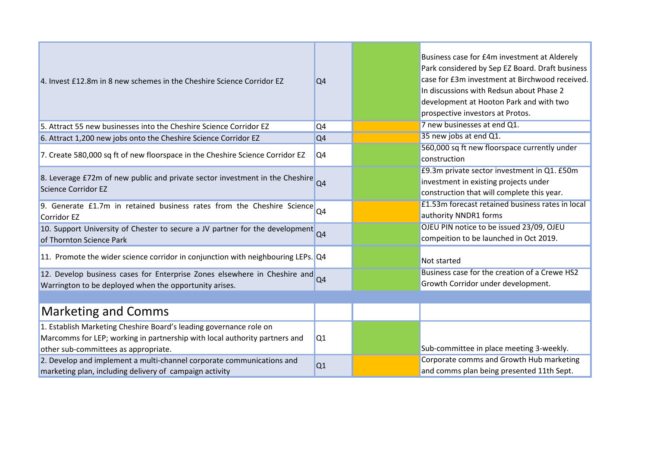| 4. Invest £12.8m in 8 new schemes in the Cheshire Science Corridor EZ                                                                                                                    | Q <sub>4</sub> | Business case for £4m investment at Alderely<br>Park considered by Sep EZ Board. Draft business<br>case for £3m investment at Birchwood received.<br>In discussions with Redsun about Phase 2<br>development at Hooton Park and with two<br>prospective investors at Protos. |
|------------------------------------------------------------------------------------------------------------------------------------------------------------------------------------------|----------------|------------------------------------------------------------------------------------------------------------------------------------------------------------------------------------------------------------------------------------------------------------------------------|
| 5. Attract 55 new businesses into the Cheshire Science Corridor EZ                                                                                                                       | Q <sub>4</sub> | 7 new businesses at end Q1.                                                                                                                                                                                                                                                  |
| 6. Attract 1,200 new jobs onto the Cheshire Science Corridor EZ                                                                                                                          | Q4             | 35 new jobs at end Q1.                                                                                                                                                                                                                                                       |
| 7. Create 580,000 sq ft of new floorspace in the Cheshire Science Corridor EZ                                                                                                            | Q <sub>4</sub> | 560,000 sq ft new floorspace currently under<br>construction                                                                                                                                                                                                                 |
| 8. Leverage £72m of new public and private sector investment in the Cheshire Q4<br>Science Corridor EZ                                                                                   |                | £9.3m private sector investment in Q1. £50m<br>investment in existing projects under<br>construction that will complete this year.                                                                                                                                           |
| 9. Generate £1.7m in retained business rates from the Cheshire Science Q4<br>Corridor EZ                                                                                                 |                | £1.53m forecast retained business rates in local<br>authority NNDR1 forms                                                                                                                                                                                                    |
| 10. Support University of Chester to secure a JV partner for the development Q4<br>of Thornton Science Park                                                                              |                | OJEU PIN notice to be issued 23/09, OJEU<br>compeition to be launched in Oct 2019.                                                                                                                                                                                           |
| 11. Promote the wider science corridor in conjunction with neighbouring LEPs. Q4                                                                                                         |                | Not started                                                                                                                                                                                                                                                                  |
| 12. Develop business cases for Enterprise Zones elsewhere in Cheshire and Q4<br>Warrington to be deployed when the opportunity arises.                                                   |                | Business case for the creation of a Crewe HS2<br>Growth Corridor under development.                                                                                                                                                                                          |
|                                                                                                                                                                                          |                |                                                                                                                                                                                                                                                                              |
| <b>Marketing and Comms</b>                                                                                                                                                               |                |                                                                                                                                                                                                                                                                              |
| 1. Establish Marketing Cheshire Board's leading governance role on<br>Marcomms for LEP; working in partnership with local authority partners and<br>other sub-committees as appropriate. | Q1             | Sub-committee in place meeting 3-weekly.                                                                                                                                                                                                                                     |
| 2. Develop and implement a multi-channel corporate communications and<br>marketing plan, including delivery of campaign activity                                                         | Q1             | Corporate comms and Growth Hub marketing<br>and comms plan being presented 11th Sept.                                                                                                                                                                                        |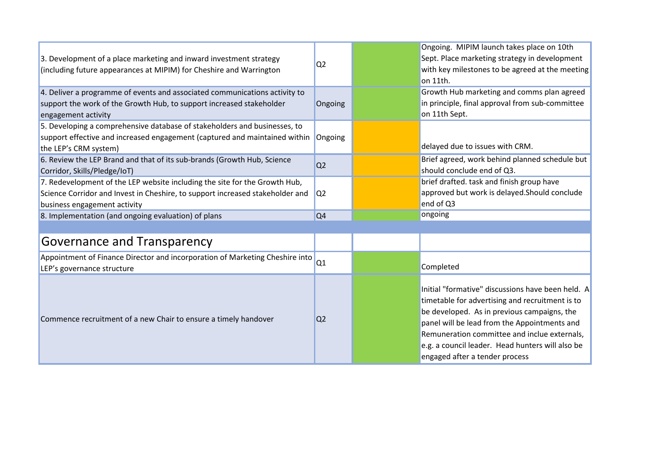| 3. Development of a place marketing and inward investment strategy<br>(including future appearances at MIPIM) for Cheshire and Warrington                                                   | Q <sub>2</sub> | Ongoing. MIPIM launch takes place on 10th<br>Sept. Place marketing strategy in development<br>with key milestones to be agreed at the meeting<br>on 11th.                                                                                                                                                                                 |
|---------------------------------------------------------------------------------------------------------------------------------------------------------------------------------------------|----------------|-------------------------------------------------------------------------------------------------------------------------------------------------------------------------------------------------------------------------------------------------------------------------------------------------------------------------------------------|
| 4. Deliver a programme of events and associated communications activity to<br>support the work of the Growth Hub, to support increased stakeholder<br>engagement activity                   | Ongoing        | Growth Hub marketing and comms plan agreed<br>in principle, final approval from sub-committee<br>on 11th Sept.                                                                                                                                                                                                                            |
| 5. Developing a comprehensive database of stakeholders and businesses, to<br>support effective and increased engagement (captured and maintained within<br>the LEP's CRM system)            | Ongoing        | delayed due to issues with CRM.                                                                                                                                                                                                                                                                                                           |
| 6. Review the LEP Brand and that of its sub-brands (Growth Hub, Science<br>Corridor, Skills/Pledge/IoT)                                                                                     | Q <sub>2</sub> | Brief agreed, work behind planned schedule but<br>should conclude end of Q3.                                                                                                                                                                                                                                                              |
| 7. Redevelopment of the LEP website including the site for the Growth Hub,<br>Science Corridor and Invest in Cheshire, to support increased stakeholder and<br>business engagement activity | Q <sub>2</sub> | brief drafted. task and finish group have<br>approved but work is delayed. Should conclude<br>end of Q3                                                                                                                                                                                                                                   |
| 8. Implementation (and ongoing evaluation) of plans                                                                                                                                         | Q <sub>4</sub> | ongoing                                                                                                                                                                                                                                                                                                                                   |
| Governance and Transparency                                                                                                                                                                 |                |                                                                                                                                                                                                                                                                                                                                           |
| Appointment of Finance Director and incorporation of Marketing Cheshire into<br>LEP's governance structure                                                                                  | Q1             | Completed                                                                                                                                                                                                                                                                                                                                 |
| Commence recruitment of a new Chair to ensure a timely handover                                                                                                                             | Q <sub>2</sub> | Initial "formative" discussions have been held. A<br>timetable for advertising and recruitment is to<br>be developed. As in previous campaigns, the<br>panel will be lead from the Appointments and<br>Remuneration committee and inclue externals,<br>e.g. a council leader. Head hunters will also be<br>engaged after a tender process |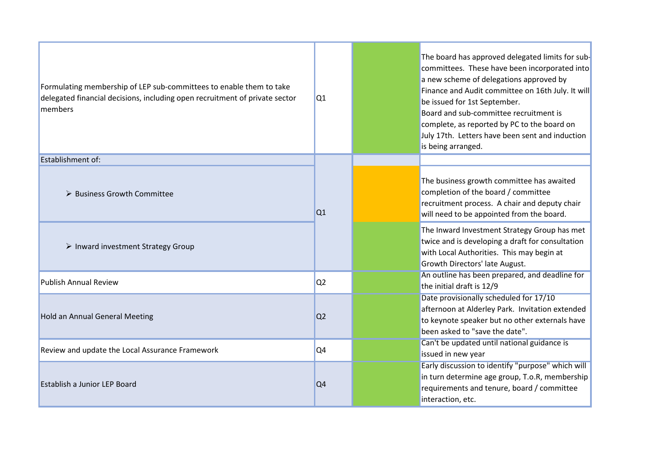| Formulating membership of LEP sub-committees to enable them to take<br>delegated financial decisions, including open recruitment of private sector<br>members | Q1             | The board has approved delegated limits for sub-<br>committees. These have been incorporated into<br>a new scheme of delegations approved by<br>Finance and Audit committee on 16th July. It will<br>be issued for 1st September.<br>Board and sub-committee recruitment is<br>complete, as reported by PC to the board on<br>July 17th. Letters have been sent and induction<br>is being arranged. |  |  |  |  |
|---------------------------------------------------------------------------------------------------------------------------------------------------------------|----------------|-----------------------------------------------------------------------------------------------------------------------------------------------------------------------------------------------------------------------------------------------------------------------------------------------------------------------------------------------------------------------------------------------------|--|--|--|--|
| <b>Establishment of:</b>                                                                                                                                      |                |                                                                                                                                                                                                                                                                                                                                                                                                     |  |  |  |  |
| > Business Growth Committee                                                                                                                                   | Q1             | The business growth committee has awaited<br>completion of the board / committee<br>recruitment process. A chair and deputy chair<br>will need to be appointed from the board.                                                                                                                                                                                                                      |  |  |  |  |
| $\triangleright$ Inward investment Strategy Group                                                                                                             |                | The Inward Investment Strategy Group has met<br>twice and is developing a draft for consultation<br>with Local Authorities. This may begin at<br>Growth Directors' late August.                                                                                                                                                                                                                     |  |  |  |  |
| <b>Publish Annual Review</b>                                                                                                                                  | Q <sub>2</sub> | An outline has been prepared, and deadline for<br>the initial draft is 12/9                                                                                                                                                                                                                                                                                                                         |  |  |  |  |
| <b>Hold an Annual General Meeting</b>                                                                                                                         | Q <sub>2</sub> | Date provisionally scheduled for 17/10<br>afternoon at Alderley Park. Invitation extended<br>to keynote speaker but no other externals have<br>been asked to "save the date".                                                                                                                                                                                                                       |  |  |  |  |
| Review and update the Local Assurance Framework                                                                                                               | Q4             | Can't be updated until national guidance is<br>issued in new year                                                                                                                                                                                                                                                                                                                                   |  |  |  |  |
| Establish a Junior LEP Board                                                                                                                                  | Q <sub>4</sub> | Early discussion to identify "purpose" which will<br>in turn determine age group, T.o.R, membership<br>requirements and tenure, board / committee<br>interaction, etc.                                                                                                                                                                                                                              |  |  |  |  |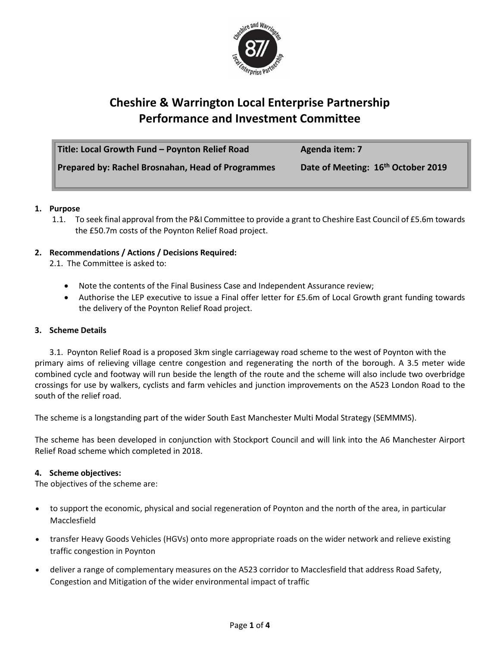

## **Cheshire & Warrington Local Enterprise Partnership Performance and Investment Committee**

| Title: Local Growth Fund - Poynton Relief Road    | Agenda item: 7                     |
|---------------------------------------------------|------------------------------------|
| Prepared by: Rachel Brosnahan, Head of Programmes | Date of Meeting: 16th October 2019 |

#### **1. Purpose**

1.1. To seek final approval from the P&I Committee to provide a grant to Cheshire East Council of £5.6m towards the £50.7m costs of the Poynton Relief Road project.

#### **2. Recommendations / Actions / Decisions Required:**

2.1. The Committee is asked to:

- Note the contents of the Final Business Case and Independent Assurance review;
- Authorise the LEP executive to issue a Final offer letter for £5.6m of Local Growth grant funding towards the delivery of the Poynton Relief Road project.

#### **3. Scheme Details**

3.1. Poynton Relief Road is a proposed 3km single carriageway road scheme to the west of Poynton with the primary aims of relieving village centre congestion and regenerating the north of the borough. A 3.5 meter wide combined cycle and footway will run beside the length of the route and the scheme will also include two overbridge crossings for use by walkers, cyclists and farm vehicles and junction improvements on the A523 London Road to the south of the relief road.

The scheme is a longstanding part of the wider South East Manchester Multi Modal Strategy (SEMMMS).

The scheme has been developed in conjunction with Stockport Council and will link into the A6 Manchester Airport Relief Road scheme which completed in 2018.

#### **4. Scheme objectives:**

The objectives of the scheme are:

- to support the economic, physical and social regeneration of Poynton and the north of the area, in particular Macclesfield
- transfer Heavy Goods Vehicles (HGVs) onto more appropriate roads on the wider network and relieve existing traffic congestion in Poynton
- deliver a range of complementary measures on the A523 corridor to Macclesfield that address Road Safety, Congestion and Mitigation of the wider environmental impact of traffic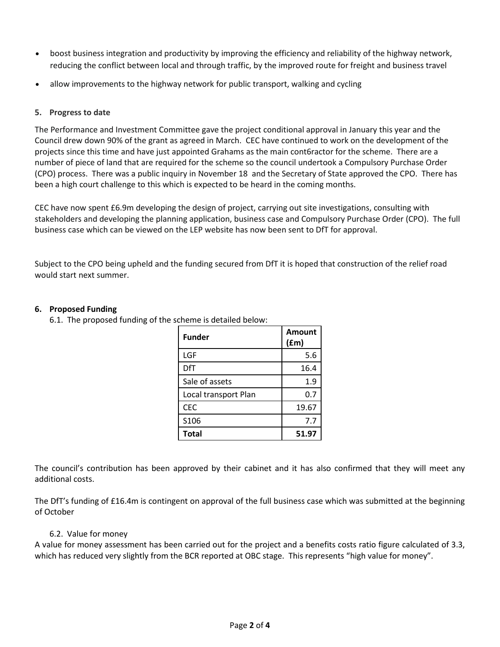- boost business integration and productivity by improving the efficiency and reliability of the highway network, reducing the conflict between local and through traffic, by the improved route for freight and business travel
- allow improvements to the highway network for public transport, walking and cycling

#### **5. Progress to date**

The Performance and Investment Committee gave the project conditional approval in January this year and the Council drew down 90% of the grant as agreed in March. CEC have continued to work on the development of the projects since this time and have just appointed Grahams as the main cont6ractor for the scheme. There are a number of piece of land that are required for the scheme so the council undertook a Compulsory Purchase Order (CPO) process. There was a public inquiry in November 18 and the Secretary of State approved the CPO. There has been a high court challenge to this which is expected to be heard in the coming months.

CEC have now spent £6.9m developing the design of project, carrying out site investigations, consulting with stakeholders and developing the planning application, business case and Compulsory Purchase Order (CPO). The full business case which can be viewed on the LEP website has now been sent to DfT for approval.

Subject to the CPO being upheld and the funding secured from DfT it is hoped that construction of the relief road would start next summer.

#### **6. Proposed Funding**

6.1. The proposed funding of the scheme is detailed below:

| <b>Funder</b>        | <b>Amount</b><br>(fm) |
|----------------------|-----------------------|
| LGF                  | 5.6                   |
| DfT                  | 16.4                  |
| Sale of assets       | 1.9                   |
| Local transport Plan | 0.7                   |
| <b>CEC</b>           | 19.67                 |
| S106                 | 7.7                   |
| <b>Total</b>         | 51.97                 |

The council's contribution has been approved by their cabinet and it has also confirmed that they will meet any additional costs.

The DfT's funding of £16.4m is contingent on approval of the full business case which was submitted at the beginning of October

#### 6.2. Value for money

A value for money assessment has been carried out for the project and a benefits costs ratio figure calculated of 3.3, which has reduced very slightly from the BCR reported at OBC stage. This represents "high value for money".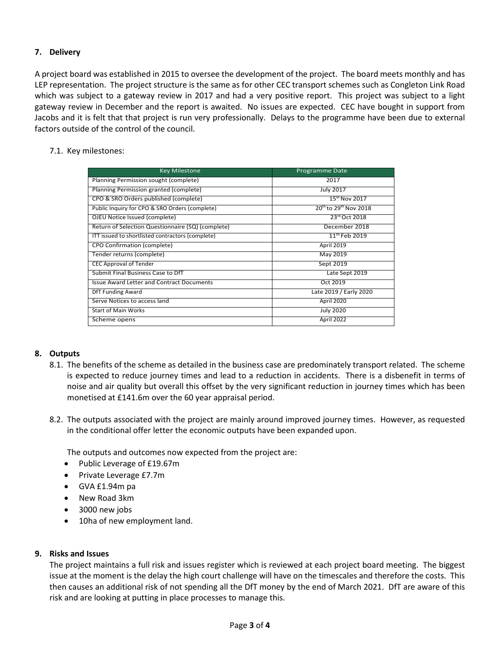#### **7. Delivery**

A project board was established in 2015 to oversee the development of the project. The board meets monthly and has LEP representation. The project structure is the same as for other CEC transport schemes such as Congleton Link Road which was subject to a gateway review in 2017 and had a very positive report. This project was subject to a light gateway review in December and the report is awaited. No issues are expected. CEC have bought in support from Jacobs and it is felt that that project is run very professionally. Delays to the programme have been due to external factors outside of the control of the council.

#### 7.1. Key milestones:

| <b>Key Milestone</b>                              | Programme Date                  |
|---------------------------------------------------|---------------------------------|
| Planning Permission sought (complete)             | 2017                            |
| Planning Permission granted (complete)            | <b>July 2017</b>                |
| CPO & SRO Orders published (complete)             | $15^{th}$ Nov 2017              |
| Public Inquiry for CPO & SRO Orders (complete)    | $20^{th}$ to $29^{th}$ Nov 2018 |
| OJEU Notice Issued (complete)                     | 23rd Oct 2018                   |
| Return of Selection Questionnaire (SQ) (complete) | December 2018                   |
| ITT issued to shortlisted contractors (complete)  | $11^{th}$ Feb 2019              |
| CPO Confirmation (complete)                       | April 2019                      |
| Tender returns (complete)                         | May 2019                        |
| <b>CEC Approval of Tender</b>                     | Sept 2019                       |
| Submit Final Business Case to DfT                 | Late Sept 2019                  |
| <b>Issue Award Letter and Contract Documents</b>  | Oct 2019                        |
| DfT Funding Award                                 | Late 2019 / Early 2020          |
| Serve Notices to access land                      | April 2020                      |
| <b>Start of Main Works</b>                        | <b>July 2020</b>                |
| Scheme opens                                      | April 2022                      |

#### **8. Outputs**

- 8.1. The benefits of the scheme as detailed in the business case are predominately transport related. The scheme is expected to reduce journey times and lead to a reduction in accidents. There is a disbenefit in terms of noise and air quality but overall this offset by the very significant reduction in journey times which has been monetised at £141.6m over the 60 year appraisal period.
- 8.2. The outputs associated with the project are mainly around improved journey times. However, as requested in the conditional offer letter the economic outputs have been expanded upon.

The outputs and outcomes now expected from the project are:

- Public Leverage of £19.67m
- Private Leverage £7.7m
- GVA £1.94m pa
- New Road 3km
- 3000 new jobs
- 10ha of new employment land.

#### **9. Risks and Issues**

The project maintains a full risk and issues register which is reviewed at each project board meeting. The biggest issue at the moment is the delay the high court challenge will have on the timescales and therefore the costs. This then causes an additional risk of not spending all the DfT money by the end of March 2021. DfT are aware of this risk and are looking at putting in place processes to manage this.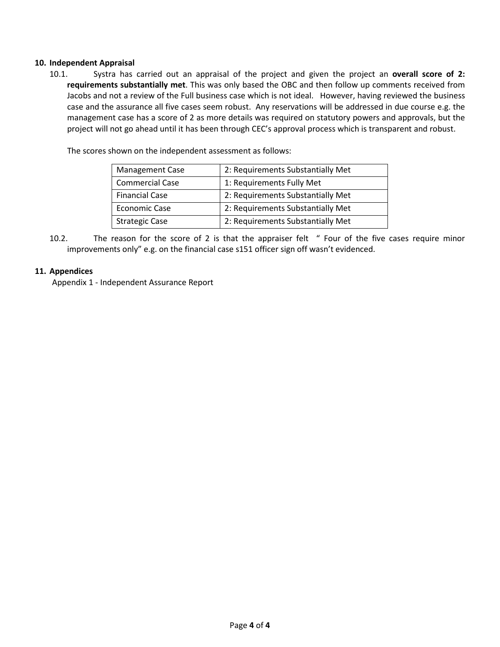#### **10. Independent Appraisal**

10.1. Systra has carried out an appraisal of the project and given the project an **overall score of 2: requirements substantially met**. This was only based the OBC and then follow up comments received from Jacobs and not a review of the Full business case which is not ideal. However, having reviewed the business case and the assurance all five cases seem robust. Any reservations will be addressed in due course e.g. the management case has a score of 2 as more details was required on statutory powers and approvals, but the project will not go ahead until it has been through CEC's approval process which is transparent and robust.

The scores shown on the independent assessment as follows:

| <b>Management Case</b> | 2: Requirements Substantially Met |
|------------------------|-----------------------------------|
| <b>Commercial Case</b> | 1: Requirements Fully Met         |
| <b>Financial Case</b>  | 2: Requirements Substantially Met |
| <b>Economic Case</b>   | 2: Requirements Substantially Met |
| <b>Strategic Case</b>  | 2: Requirements Substantially Met |

10.2. The reason for the score of 2 is that the appraiser felt " Four of the five cases require minor improvements only" e.g. on the financial case s151 officer sign off wasn't evidenced.

#### **11. Appendices**

Appendix 1 - Independent Assurance Report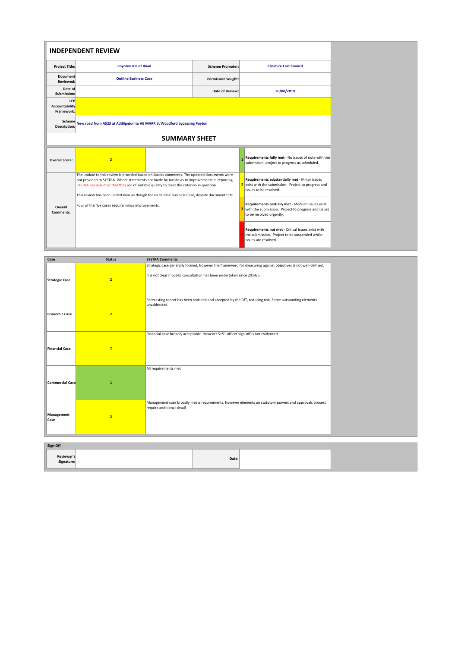|                                     | <b>INDEPENDENT REVIEW</b>                                                                                                                                                                                                                                                                                                                                                               |  |                           |                                                                                                                                       |  |  |  |  |  |  |
|-------------------------------------|-----------------------------------------------------------------------------------------------------------------------------------------------------------------------------------------------------------------------------------------------------------------------------------------------------------------------------------------------------------------------------------------|--|---------------------------|---------------------------------------------------------------------------------------------------------------------------------------|--|--|--|--|--|--|
| <b>Project Title:</b>               | <b>Poynton Relief Road</b>                                                                                                                                                                                                                                                                                                                                                              |  | <b>Scheme Promoter:</b>   | <b>Cheshire East Council</b>                                                                                                          |  |  |  |  |  |  |
| <b>Document</b><br><b>Reviewed:</b> | <b>Outline Business Case</b>                                                                                                                                                                                                                                                                                                                                                            |  | <b>Permission Sought:</b> |                                                                                                                                       |  |  |  |  |  |  |
| Date of<br>Submission:              |                                                                                                                                                                                                                                                                                                                                                                                         |  | <b>Date of Review:</b>    | 30/08/2019                                                                                                                            |  |  |  |  |  |  |
| LEP<br>Accountability<br>Framework: |                                                                                                                                                                                                                                                                                                                                                                                         |  |                           |                                                                                                                                       |  |  |  |  |  |  |
| Description:                        | Scheme New road from A523 at Addlignton to A6 MARR at Woodford bypassing Poyton                                                                                                                                                                                                                                                                                                         |  |                           |                                                                                                                                       |  |  |  |  |  |  |
|                                     | <b>SUMMARY SHEET</b>                                                                                                                                                                                                                                                                                                                                                                    |  |                           |                                                                                                                                       |  |  |  |  |  |  |
| <b>Overall Score:</b>               | $\overline{2}$                                                                                                                                                                                                                                                                                                                                                                          |  |                           | Requirements fully met - No issues of note with the<br>submission, project to progress as scheduled.                                  |  |  |  |  |  |  |
|                                     | The update to this review is provided based on Jacobs comments. The updated documents were<br>not provided to SYSTRA. Where statements are made by Jacobs as to improvements in reporting,<br>SYSTRA has assumed that they are of suitable quality to meet the criterion in question<br>This review has been undertaken as though for an Outline Business Case, despite document title. |  |                           | Requirements substantially met - Minor issues<br>exist with the submission. Project to progress and<br>issues to be resolved.         |  |  |  |  |  |  |
| Overall<br>Comments:                | Four of the five cases require minor improvements.                                                                                                                                                                                                                                                                                                                                      |  |                           | Requirements partially met - Medium issues exist<br>3 with the submission. Project to progress and issues<br>to be resolved urgently. |  |  |  |  |  |  |
|                                     |                                                                                                                                                                                                                                                                                                                                                                                         |  |                           | Requirements not met - Critical issues exist with<br>the submission. Project to be suspended whilst<br>issues are resolved.           |  |  |  |  |  |  |

| Case                   | <b>Status</b>  | <b>SYSTRA Comments</b>                                                                                                                                                                  |  |
|------------------------|----------------|-----------------------------------------------------------------------------------------------------------------------------------------------------------------------------------------|--|
| <b>Strategic Case</b>  | $\overline{2}$ | Strategic case generally formed, however the frameword for measuring against objectives is not well-defined.<br>It is not clear if public consultation has been undertaken since 2014/5 |  |
| <b>Economic Case</b>   | $\overline{2}$ | Forecasting report has been revisited and accepted by the DfT, reducing risk. Some outstanding elements<br>unaddressed                                                                  |  |
| <b>Financial Case</b>  | $\overline{2}$ | Financial case broadly acceptable. However S151 officer sign-off is not evidenced                                                                                                       |  |
| <b>Commercial Case</b> | $\mathbf{1}$   | All requirements met                                                                                                                                                                    |  |
| Management<br>Case     | $\overline{2}$ | Management case broadly meets requirements, however elements on statutory powers and approvals process<br>require additional detail                                                     |  |

| Sign-Off                 |       |  |  |  |  |  |  |  |  |
|--------------------------|-------|--|--|--|--|--|--|--|--|
| Reviewer's<br>Signature: | Date: |  |  |  |  |  |  |  |  |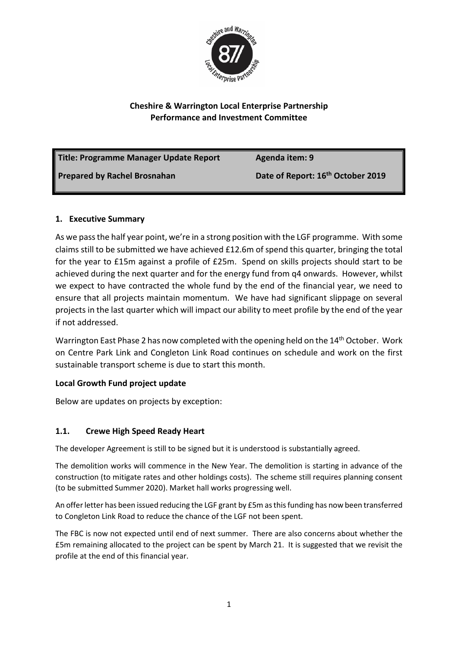

## **Cheshire & Warrington Local Enterprise Partnership Performance and Investment Committee**

| Title: Programme Manager Update Report | Agenda item: 9                                |
|----------------------------------------|-----------------------------------------------|
| <b>Prepared by Rachel Brosnahan</b>    | Date of Report: 16 <sup>th</sup> October 2019 |

## **1. Executive Summary**

As we pass the half year point, we're in a strong position with the LGF programme. With some claims still to be submitted we have achieved £12.6m of spend this quarter, bringing the total for the year to £15m against a profile of £25m. Spend on skills projects should start to be achieved during the next quarter and for the energy fund from q4 onwards. However, whilst we expect to have contracted the whole fund by the end of the financial year, we need to ensure that all projects maintain momentum. We have had significant slippage on several projects in the last quarter which will impact our ability to meet profile by the end of the year if not addressed.

Warrington East Phase 2 has now completed with the opening held on the 14<sup>th</sup> October. Work on Centre Park Link and Congleton Link Road continues on schedule and work on the first sustainable transport scheme is due to start this month.

## **Local Growth Fund project update**

Below are updates on projects by exception:

## **1.1. Crewe High Speed Ready Heart**

The developer Agreement is still to be signed but it is understood is substantially agreed.

The demolition works will commence in the New Year. The demolition is starting in advance of the construction (to mitigate rates and other holdings costs). The scheme still requires planning consent (to be submitted Summer 2020). Market hall works progressing well.

An offer letter has been issued reducing the LGF grant by £5m as this funding has now been transferred to Congleton Link Road to reduce the chance of the LGF not been spent.

The FBC is now not expected until end of next summer. There are also concerns about whether the £5m remaining allocated to the project can be spent by March 21. It is suggested that we revisit the profile at the end of this financial year.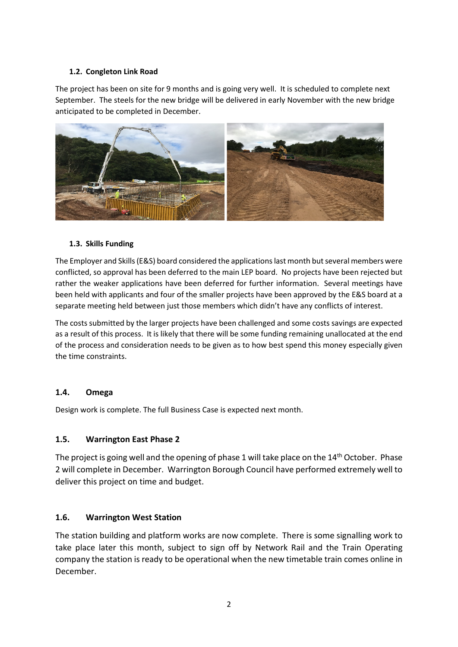#### **1.2. Congleton Link Road**

The project has been on site for 9 months and is going very well. It is scheduled to complete next September. The steels for the new bridge will be delivered in early November with the new bridge anticipated to be completed in December.



#### **1.3. Skills Funding**

The Employer and Skills (E&S) board considered the applications last month but several members were conflicted, so approval has been deferred to the main LEP board. No projects have been rejected but rather the weaker applications have been deferred for further information. Several meetings have been held with applicants and four of the smaller projects have been approved by the E&S board at a separate meeting held between just those members which didn't have any conflicts of interest.

The costs submitted by the larger projects have been challenged and some costs savings are expected as a result of this process. It is likely that there will be some funding remaining unallocated at the end of the process and consideration needs to be given as to how best spend this money especially given the time constraints.

#### **1.4. Omega**

Design work is complete. The full Business Case is expected next month.

## **1.5. Warrington East Phase 2**

The project is going well and the opening of phase 1 will take place on the 14<sup>th</sup> October. Phase 2 will complete in December. Warrington Borough Council have performed extremely well to deliver this project on time and budget.

## **1.6. Warrington West Station**

The station building and platform works are now complete. There is some signalling work to take place later this month, subject to sign off by Network Rail and the Train Operating company the station is ready to be operational when the new timetable train comes online in December.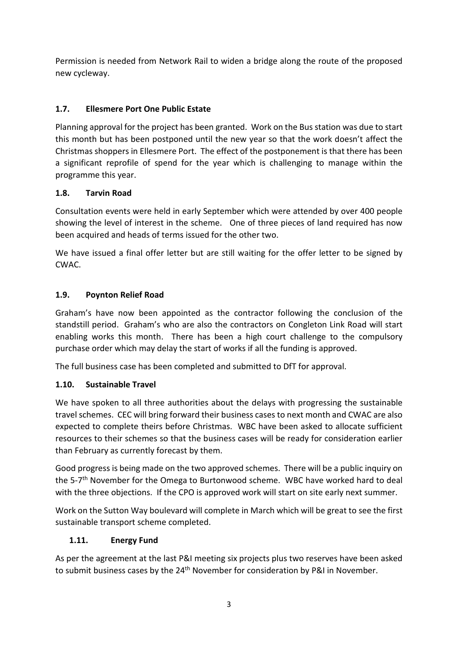Permission is needed from Network Rail to widen a bridge along the route of the proposed new cycleway.

## **1.7. Ellesmere Port One Public Estate**

Planning approval for the project has been granted. Work on the Bus station was due to start this month but has been postponed until the new year so that the work doesn't affect the Christmas shoppers in Ellesmere Port. The effect of the postponement is that there has been a significant reprofile of spend for the year which is challenging to manage within the programme this year.

## **1.8. Tarvin Road**

Consultation events were held in early September which were attended by over 400 people showing the level of interest in the scheme. One of three pieces of land required has now been acquired and heads of terms issued for the other two.

We have issued a final offer letter but are still waiting for the offer letter to be signed by CWAC.

## **1.9. Poynton Relief Road**

Graham's have now been appointed as the contractor following the conclusion of the standstill period. Graham's who are also the contractors on Congleton Link Road will start enabling works this month. There has been a high court challenge to the compulsory purchase order which may delay the start of works if all the funding is approved.

The full business case has been completed and submitted to DfT for approval.

## **1.10. Sustainable Travel**

We have spoken to all three authorities about the delays with progressing the sustainable travel schemes. CEC will bring forward their business cases to next month and CWAC are also expected to complete theirs before Christmas. WBC have been asked to allocate sufficient resources to their schemes so that the business cases will be ready for consideration earlier than February as currently forecast by them.

Good progress is being made on the two approved schemes. There will be a public inquiry on the 5-7th November for the Omega to Burtonwood scheme. WBC have worked hard to deal with the three objections. If the CPO is approved work will start on site early next summer.

Work on the Sutton Way boulevard will complete in March which will be great to see the first sustainable transport scheme completed.

## **1.11. Energy Fund**

As per the agreement at the last P&I meeting six projects plus two reserves have been asked to submit business cases by the 24<sup>th</sup> November for consideration by P&I in November.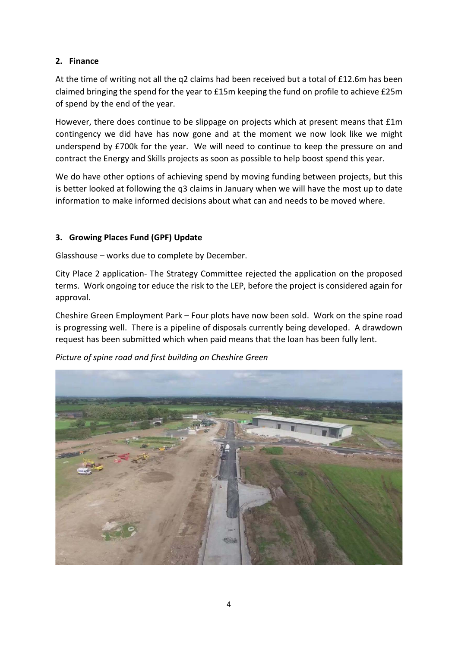## **2. Finance**

At the time of writing not all the q2 claims had been received but a total of £12.6m has been claimed bringing the spend for the year to £15m keeping the fund on profile to achieve £25m of spend by the end of the year.

However, there does continue to be slippage on projects which at present means that £1m contingency we did have has now gone and at the moment we now look like we might underspend by £700k for the year. We will need to continue to keep the pressure on and contract the Energy and Skills projects as soon as possible to help boost spend this year.

We do have other options of achieving spend by moving funding between projects, but this is better looked at following the q3 claims in January when we will have the most up to date information to make informed decisions about what can and needs to be moved where.

## **3. Growing Places Fund (GPF) Update**

Glasshouse – works due to complete by December.

City Place 2 application- The Strategy Committee rejected the application on the proposed terms. Work ongoing tor educe the risk to the LEP, before the project is considered again for approval.

Cheshire Green Employment Park – Four plots have now been sold. Work on the spine road is progressing well. There is a pipeline of disposals currently being developed. A drawdown request has been submitted which when paid means that the loan has been fully lent.

*Picture of spine road and first building on Cheshire Green*

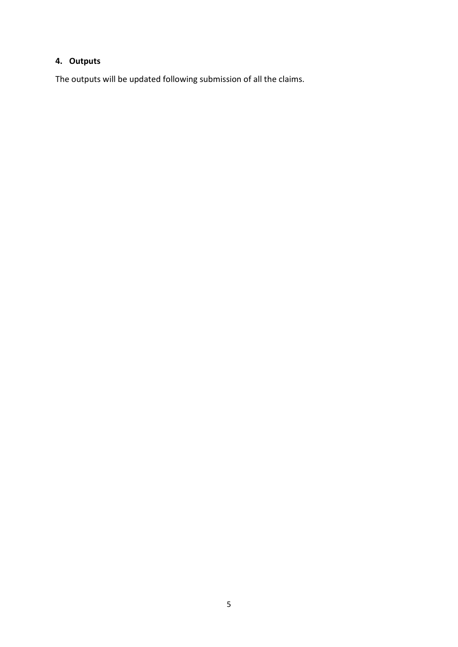## **4. Outputs**

The outputs will be updated following submission of all the claims.